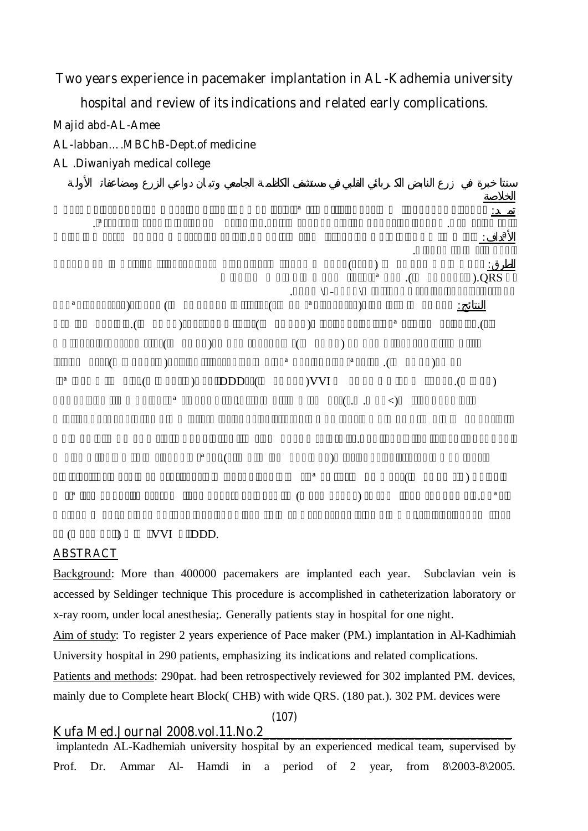**Two years experience in pacemaker implantation in AL-Kadhemia university hospital and review of its indications and related early complications.** 

**Majid abd-AL-Amee** 

**AL-labban….MBChB-Dept.of medicine** 

**AL .Diwaniyah medical college** 



 $(VVI)$  DDD.

### **ABSTRACT**

Background: More than 400000 pacemakers are implanted each year. Subclavian vein is accessed by Seldinger technique This procedure is accomplished in catheterization laboratory or x-ray room, under local anesthesia;. Generally patients stay in hospital for one night.

Aim of study: To register 2 years experience of Pace maker (PM.) implantation in Al-Kadhimiah University hospital in 290 patients, emphasizing its indications and related complications.

Patients and methods: 290pat. had been retrospectively reviewed for 302 implanted PM. devices, mainly due to Complete heart Block( CHB) with wide QRS. (180 pat.). 302 PM. devices were

**(107)** 

## **Kufa Med.Journal 2008.vol.11.No.2\_\_\_\_\_\_\_\_\_\_\_\_\_\_\_\_\_\_\_\_\_\_\_\_\_\_\_\_\_\_\_\_\_\_\_\_**

 implantedn AL-Kadhemiah university hospital by an experienced medical team, supervised by Prof. Dr. Ammar Al- Hamdi in a period of 2 year, from  $8\frac{2003-8}{2005}$ .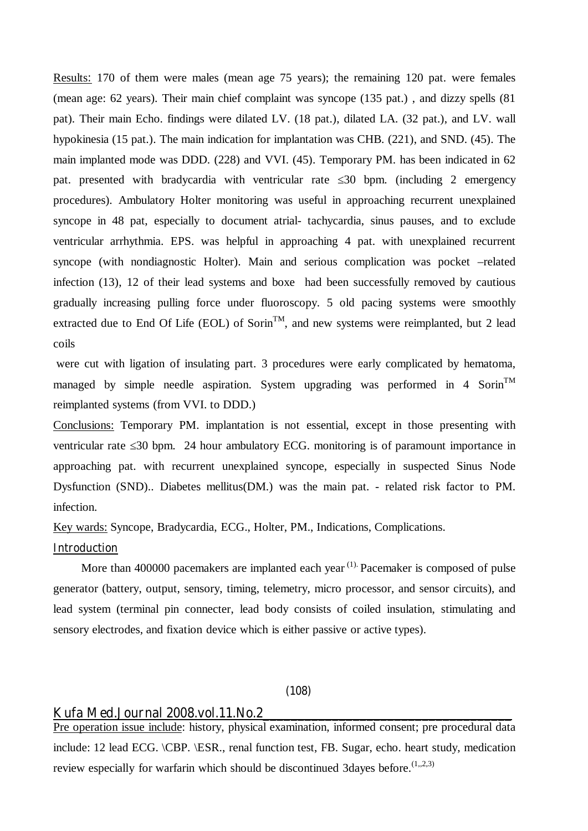Results**:** 170 of them were males (mean age 75 years); the remaining 120 pat. were females (mean age: 62 years). Their main chief complaint was syncope (135 pat.) , and dizzy spells (81 pat). Their main Echo. findings were dilated LV. (18 pat.), dilated LA. (32 pat.), and LV. wall hypokinesia (15 pat.). The main indication for implantation was CHB. (221), and SND. (45). The main implanted mode was DDD. (228) and VVI. (45). Temporary PM. has been indicated in 62 pat. presented with bradycardia with ventricular rate 30 bpm. (including 2 emergency procedures). Ambulatory Holter monitoring was useful in approaching recurrent unexplained syncope in 48 pat, especially to document atrial- tachycardia, sinus pauses, and to exclude ventricular arrhythmia. EPS. was helpful in approaching 4 pat. with unexplained recurrent syncope (with nondiagnostic Holter). Main and serious complication was pocket –related infection (13), 12 of their lead systems and boxe had been successfully removed by cautious gradually increasing pulling force under fluoroscopy. 5 old pacing systems were smoothly extracted due to End Of Life (EOL) of Sorin<sup>TM</sup>, and new systems were reimplanted, but 2 lead coils

 were cut with ligation of insulating part. 3 procedures were early complicated by hematoma, managed by simple needle aspiration. System upgrading was performed in 4 Sorin<sup>TM</sup> reimplanted systems (from VVI. to DDD.)

Conclusions: Temporary PM. implantation is not essential, except in those presenting with ventricular rate 30 bpm. 24 hour ambulatory ECG. monitoring is of paramount importance in approaching pat. with recurrent unexplained syncope, especially in suspected Sinus Node Dysfunction (SND).. Diabetes mellitus(DM.) was the main pat. - related risk factor to PM. infection.

Key wards: Syncope, Bradycardia, ECG., Holter, PM., Indications, Complications.

#### **Introduction**

More than 400000 pacemakers are implanted each year <sup>(1)</sup> Pacemaker is composed of pulse generator (battery, output, sensory, timing, telemetry, micro processor, and sensor circuits), and lead system (terminal pin connecter, lead body consists of coiled insulation, stimulating and sensory electrodes, and fixation device which is either passive or active types).

## **(108)**

### **Kufa Med.Journal 2008.vol.11.No.2\_\_\_\_\_\_\_\_\_\_\_\_\_\_\_\_\_\_\_\_\_\_\_\_\_\_\_\_\_\_\_\_\_\_\_\_**

Pre operation issue include: history, physical examination, informed consent; pre procedural data include: 12 lead ECG. \CBP. \ESR., renal function test, FB. Sugar, echo. heart study, medication review especially for warfarin which should be discontinued 3dayes before.  $(1,2,3)$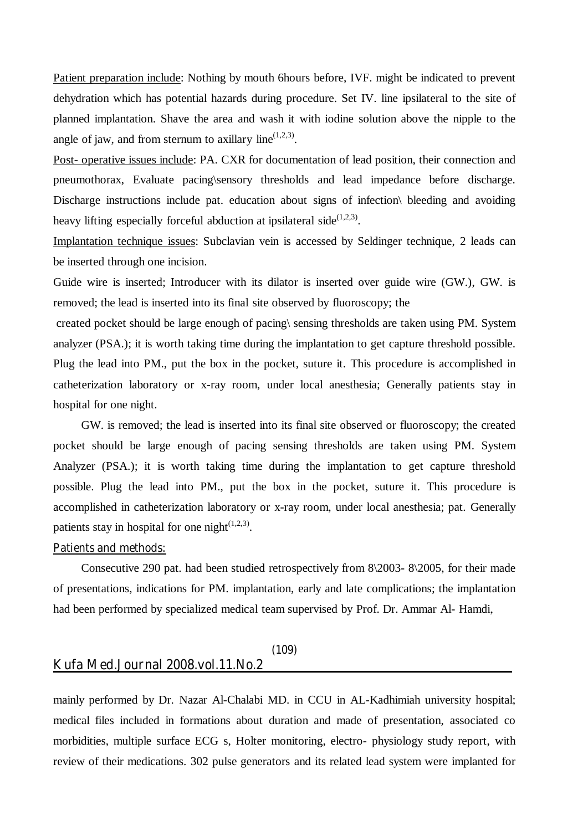Patient preparation include: Nothing by mouth 6hours before, IVF. might be indicated to prevent dehydration which has potential hazards during procedure. Set IV. line ipsilateral to the site of planned implantation. Shave the area and wash it with iodine solution above the nipple to the angle of jaw, and from sternum to axillary line<sup> $(1,2,3)$ </sup>.

Post- operative issues include: PA. CXR for documentation of lead position, their connection and pneumothorax, Evaluate pacing\sensory thresholds and lead impedance before discharge. Discharge instructions include pat. education about signs of infection bleeding and avoiding heavy lifting especially forceful abduction at ipsilateral side $^{(1,2,3)}$ .

Implantation technique issues: Subclavian vein is accessed by Seldinger technique, 2 leads can be inserted through one incision.

Guide wire is inserted; Introducer with its dilator is inserted over guide wire (GW.), GW. is removed; the lead is inserted into its final site observed by fluoroscopy; the

 created pocket should be large enough of pacing\ sensing thresholds are taken using PM. System analyzer (PSA.); it is worth taking time during the implantation to get capture threshold possible. Plug the lead into PM., put the box in the pocket, suture it. This procedure is accomplished in catheterization laboratory or x-ray room, under local anesthesia; Generally patients stay in hospital for one night.

GW. is removed; the lead is inserted into its final site observed or fluoroscopy; the created pocket should be large enough of pacing sensing thresholds are taken using PM. System Analyzer (PSA.); it is worth taking time during the implantation to get capture threshold possible. Plug the lead into PM., put the box in the pocket, suture it. This procedure is accomplished in catheterization laboratory or x-ray room, under local anesthesia; pat. Generally patients stay in hospital for one night $(1,2,3)$ .

### **Patients and methods:**

Consecutive 290 pat. had been studied retrospectively from 8\2003- 8\2005, for their made of presentations, indications for PM. implantation, early and late complications; the implantation had been performed by specialized medical team supervised by Prof. Dr. Ammar Al- Hamdi,

## **(109) Kufa Med.Journal 2008.vol.11.No.2\_\_\_\_\_\_\_\_\_\_\_\_\_\_\_\_\_\_\_\_\_\_\_\_\_\_\_\_\_\_\_\_\_\_\_\_**

mainly performed by Dr. Nazar Al-Chalabi MD. in CCU in AL-Kadhimiah university hospital; medical files included in formations about duration and made of presentation, associated co morbidities, multiple surface ECG s, Holter monitoring, electro- physiology study report, with review of their medications. 302 pulse generators and its related lead system were implanted for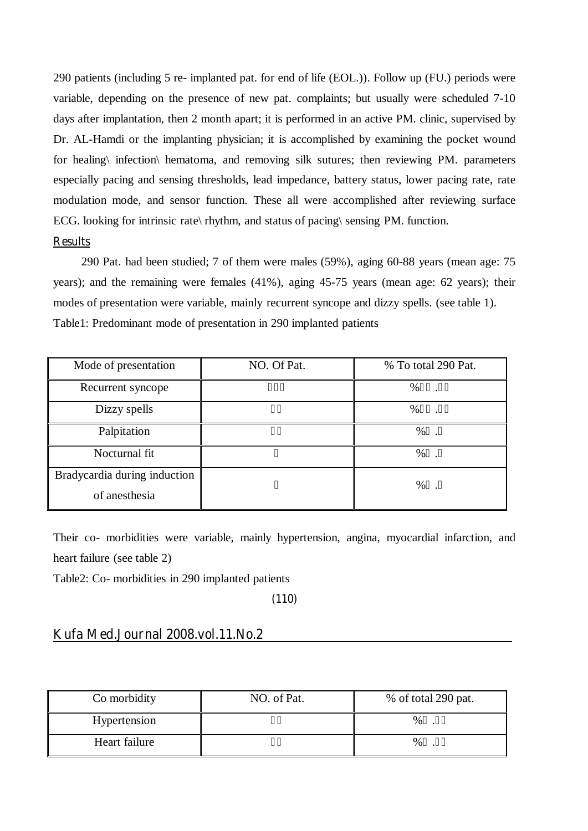290 patients (including 5 re- implanted pat. for end of life (EOL.)). Follow up (FU.) periods were variable, depending on the presence of new pat. complaints; but usually were scheduled 7-10 days after implantation, then 2 month apart; it is performed in an active PM. clinic, supervised by Dr. AL-Hamdi or the implanting physician; it is accomplished by examining the pocket wound for healing\ infection\ hematoma, and removing silk sutures; then reviewing PM. parameters especially pacing and sensing thresholds, lead impedance, battery status, lower pacing rate, rate modulation mode, and sensor function. These all were accomplished after reviewing surface ECG. looking for intrinsic rate\ rhythm, and status of pacing\ sensing PM. function.

### **Results**

290 Pat. had been studied; 7 of them were males (59%), aging 60-88 years (mean age: 75 years); and the remaining were females (41%), aging 45-75 years (mean age: 62 years); their modes of presentation were variable, mainly recurrent syncope and dizzy spells. (see table 1). Table1: Predominant mode of presentation in 290 implanted patients

| Mode of presentation                          | NO. Of Pat. | % To total 290 Pat. |
|-----------------------------------------------|-------------|---------------------|
| Recurrent syncope                             |             | $\%$                |
| Dizzy spells                                  |             | $\%$                |
| Palpitation                                   |             | $\%$                |
| Nocturnal fit                                 |             | $\%$                |
| Bradycardia during induction<br>of anesthesia |             | %                   |

Their co- morbidities were variable, mainly hypertension, angina, myocardial infarction, and heart failure (see table 2)

Table2: Co- morbidities in 290 implanted patients

**(110)** 

## **Kufa Med.Journal 2008.vol.11.No.2\_\_\_\_\_\_\_\_\_\_\_\_\_\_\_\_\_\_\_\_\_\_\_\_\_\_\_\_\_\_\_\_\_\_\_\_**

| Co morbidity  | NO. of Pat. | % of total 290 pat. |
|---------------|-------------|---------------------|
| Hypertension  |             | $\%$                |
| Heart failure |             | $\%$                |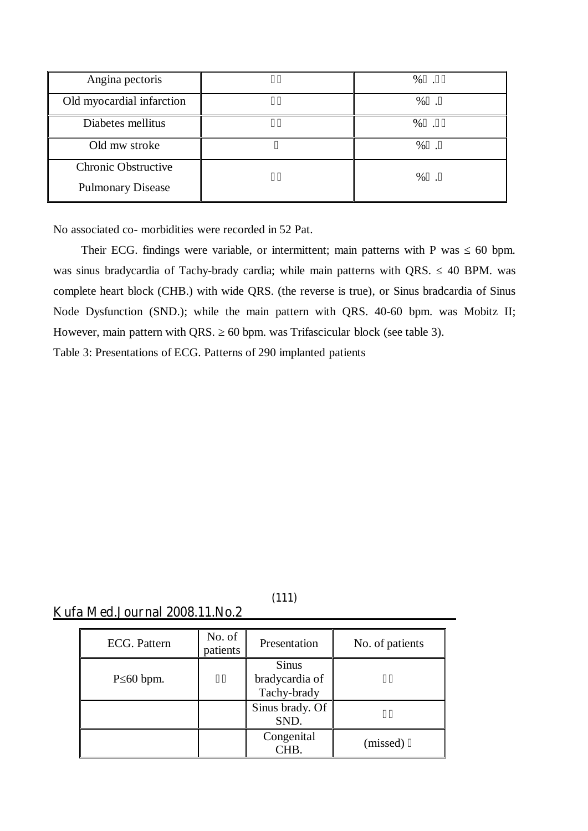| Angina pectoris           | $\%$ |
|---------------------------|------|
| Old myocardial infarction | $\%$ |
| Diabetes mellitus         | $\%$ |
| Old mw stroke             | %    |
| Chronic Obstructive       | %    |
| <b>Pulmonary Disease</b>  |      |

No associated co- morbidities were recorded in 52 Pat.

Their ECG. findings were variable, or intermittent; main patterns with P was 60 bpm. was sinus bradycardia of Tachy-brady cardia; while main patterns with QRS. 40 BPM. was complete heart block (CHB.) with wide QRS. (the reverse is true), or Sinus bradcardia of Sinus Node Dysfunction (SND.); while the main pattern with QRS. 40-60 bpm. was Mobitz II; However, main pattern with QRS. 60 bpm. was Trifascicular block (see table 3).

Table 3: Presentations of ECG. Patterns of 290 implanted patients

**Kufa Med.Journal 2008.11.No.2\_\_\_\_\_\_\_\_\_\_\_\_\_\_\_\_\_\_\_\_\_\_\_\_\_\_\_\_\_\_\_** 

| ECG. Pattern  | No. of<br>patients | Presentation                                  | No. of patients |
|---------------|--------------------|-----------------------------------------------|-----------------|
| $P_{00}$ bpm. |                    | <b>Sinus</b><br>bradycardia of<br>Tachy-brady |                 |
|               |                    | Sinus brady. Of<br>SND.                       |                 |
|               |                    | Congenital<br>CHB.                            | (missed)        |

**(111)**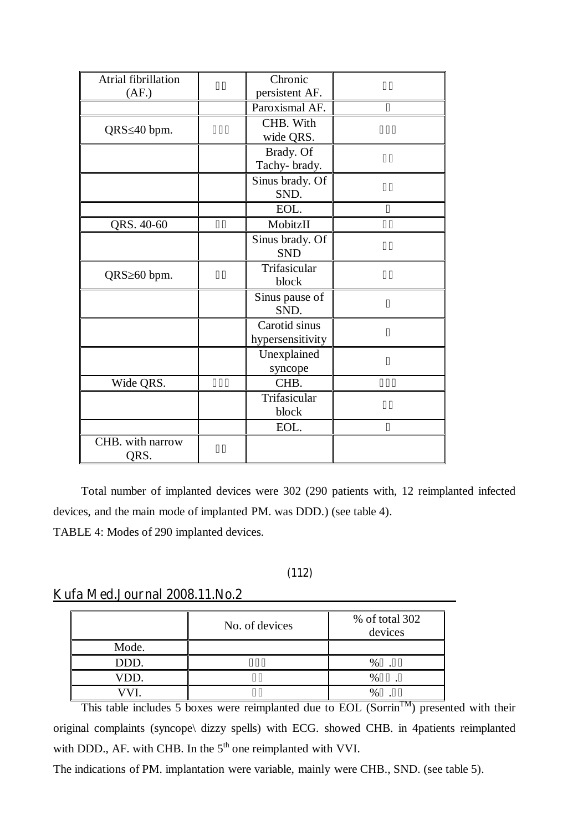| Atrial fibrillation | Chronic          |  |
|---------------------|------------------|--|
| (AF)                | persistent AF.   |  |
|                     | Paroxismal AF.   |  |
|                     | CHB. With        |  |
| QRS 40 bpm.         | wide QRS.        |  |
|                     | Brady. Of        |  |
|                     | Tachy-brady.     |  |
|                     | Sinus brady. Of  |  |
|                     | SND.             |  |
|                     | EOL.             |  |
| QRS. 40-60          | MobitzII         |  |
|                     | Sinus brady. Of  |  |
|                     | <b>SND</b>       |  |
| QRS 60 bpm.         | Trifasicular     |  |
|                     | block            |  |
|                     | Sinus pause of   |  |
|                     | SND.             |  |
|                     | Carotid sinus    |  |
|                     | hypersensitivity |  |
|                     | Unexplained      |  |
|                     | syncope          |  |
| Wide QRS.           | CHB.             |  |
|                     | Trifasicular     |  |
|                     | block            |  |
|                     | EOL.             |  |
| CHB. with narrow    |                  |  |
| QRS.                |                  |  |

Total number of implanted devices were 302 (290 patients with, 12 reimplanted infected devices, and the main mode of implanted PM. was DDD.) (see table 4). TABLE 4: Modes of 290 implanted devices.

## **(112)**

## **Kufa Med.Journal 2008.11.No.2\_\_\_\_\_\_\_\_\_\_\_\_\_\_\_\_\_\_\_\_\_\_\_\_\_\_\_\_\_\_\_**

|       | No. of devices | % of total 302<br>devices |
|-------|----------------|---------------------------|
| Mode. |                |                           |
| DDD.  |                |                           |
| VDD.  |                |                           |
|       |                |                           |

This table includes 5 boxes were reimplanted due to EOL (Sorrin<sup>TM</sup>) presented with their original complaints (syncope\ dizzy spells) with ECG. showed CHB. in 4patients reimplanted with DDD., AF. with CHB. In the 5<sup>th</sup> one reimplanted with VVI.

The indications of PM. implantation were variable, mainly were CHB., SND. (see table 5).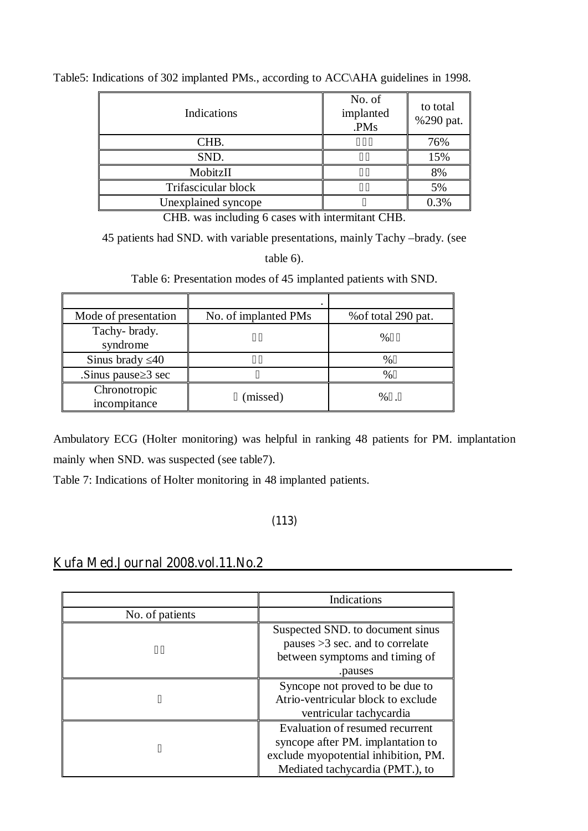| Indications         | No. of<br>implanted<br>.PMs | to total<br>%290 pat. |
|---------------------|-----------------------------|-----------------------|
| CHB.                |                             | 76%                   |
| SND.                |                             | 15%                   |
| MobitzII            |                             | 8%                    |
| Trifascicular block |                             | 5%                    |
| Unexplained syncope |                             | 0.3%                  |

Table5: Indications of 302 implanted PMs., according to ACC\AHA guidelines in 1998.

CHB. was including 6 cases with intermitant CHB.

45 patients had SND. with variable presentations, mainly Tachy –brady. (see

table 6).

Table 6: Presentation modes of 45 implanted patients with SND.

| Mode of presentation         | No. of implanted PMs | % of total 290 pat. |
|------------------------------|----------------------|---------------------|
| Tachy-brady.<br>syndrome     |                      | $\frac{0}{0}$       |
| Sinus brady 40               |                      | $\frac{0}{0}$       |
| Sinus pause 3 sec            |                      | $\%$                |
| Chronotropic<br>incompitance | (missed)             | $\%$                |

Ambulatory ECG (Holter monitoring) was helpful in ranking 48 patients for PM. implantation mainly when SND. was suspected (see table7).

Table 7: Indications of Holter monitoring in 48 implanted patients.

# **(113)**

# **Kufa Med.Journal 2008.vol.11.No.2\_\_\_\_\_\_\_\_\_\_\_\_\_\_\_\_\_\_\_\_\_\_\_\_\_\_\_\_\_\_\_\_\_\_\_\_**

|                 | Indications                          |
|-----------------|--------------------------------------|
| No. of patients |                                      |
|                 | Suspected SND, to document sinus     |
|                 | pauses $>3$ sec. and to correlate    |
|                 | between symptoms and timing of       |
|                 | .pauses                              |
|                 | Syncope not proved to be due to      |
|                 | Atrio-ventricular block to exclude   |
|                 | ventricular tachycardia              |
|                 | Evaluation of resumed recurrent      |
|                 | syncope after PM. implantation to    |
|                 | exclude myopotential inhibition, PM. |
|                 | Mediated tachycardia (PMT.), to      |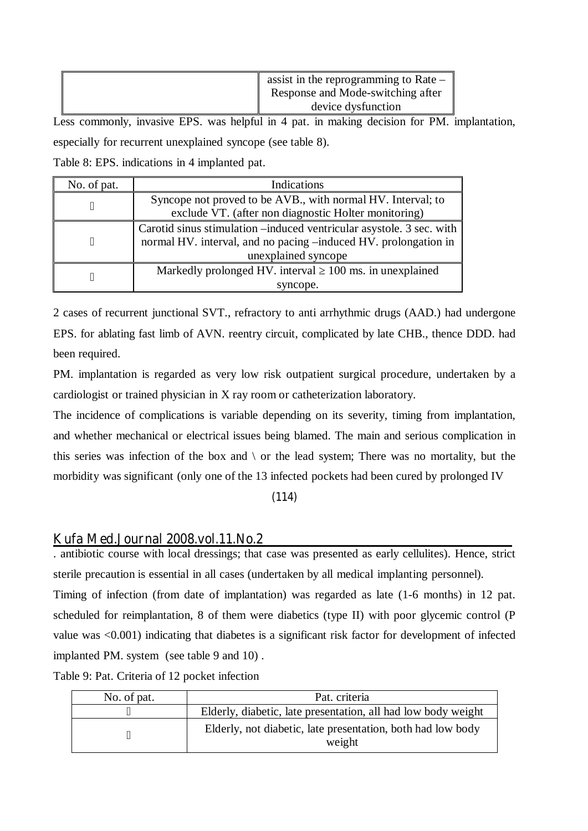| assist in the reprogramming to Rate $-$<br>Response and Mode-switching after |
|------------------------------------------------------------------------------|
| device dysfunction                                                           |

Less commonly, invasive EPS. was helpful in 4 pat. in making decision for PM. implantation, especially for recurrent unexplained syncope (see table 8).

Table 8: EPS. indications in 4 implanted pat.

| No. of pat. | Indications                                                          |  |
|-------------|----------------------------------------------------------------------|--|
|             | Syncope not proved to be AVB., with normal HV. Interval; to          |  |
|             | exclude VT. (after non diagnostic Holter monitoring)                 |  |
|             | Carotid sinus stimulation –induced ventricular asystole. 3 sec. with |  |
|             | normal HV. interval, and no pacing -induced HV. prolongation in      |  |
|             | unexplained syncope                                                  |  |
|             | Markedly prolonged HV. interval 100 ms. in unexplained               |  |
|             | syncope.                                                             |  |

2 cases of recurrent junctional SVT., refractory to anti arrhythmic drugs (AAD.) had undergone EPS. for ablating fast limb of AVN. reentry circuit, complicated by late CHB., thence DDD. had been required.

PM. implantation is regarded as very low risk outpatient surgical procedure, undertaken by a cardiologist or trained physician in X ray room or catheterization laboratory.

The incidence of complications is variable depending on its severity, timing from implantation, and whether mechanical or electrical issues being blamed. The main and serious complication in this series was infection of the box and  $\langle$  or the lead system; There was no mortality, but the morbidity was significant (only one of the 13 infected pockets had been cured by prolonged IV

**(114)** 

## **Kufa Med.Journal 2008.vol.11.No.2\_\_\_\_\_\_\_\_\_\_\_\_\_\_\_\_\_\_\_\_\_\_\_\_\_\_\_\_\_\_\_\_\_\_\_\_**

. antibiotic course with local dressings; that case was presented as early cellulites). Hence, strict sterile precaution is essential in all cases (undertaken by all medical implanting personnel).

Timing of infection (from date of implantation) was regarded as late (1-6 months) in 12 pat. scheduled for reimplantation, 8 of them were diabetics (type II) with poor glycemic control (P value was <0.001) indicating that diabetes is a significant risk factor for development of infected implanted PM. system (see table 9 and 10) .

Table 9: Pat. Criteria of 12 pocket infection

| No. of pat. | Pat. criteria                                                         |
|-------------|-----------------------------------------------------------------------|
|             | Elderly, diabetic, late presentation, all had low body weight         |
|             | Elderly, not diabetic, late presentation, both had low body<br>weight |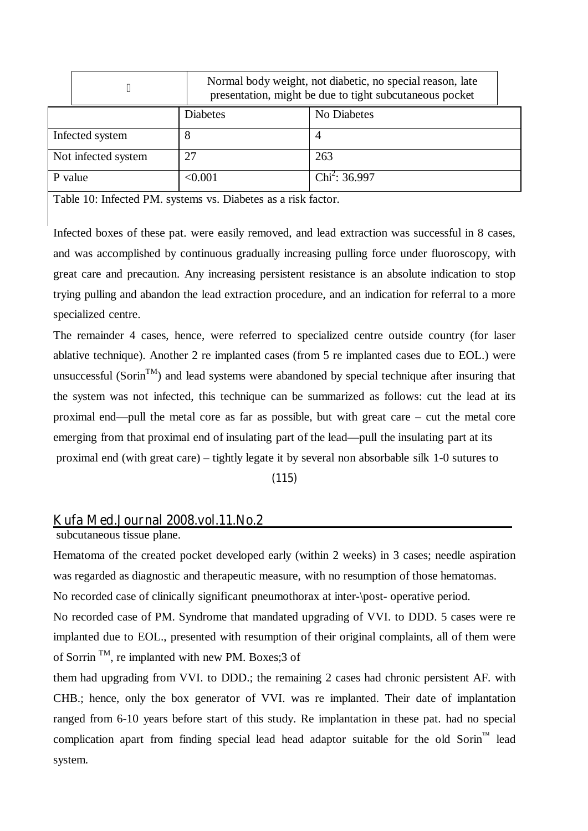|                     | Normal body weight, not diabetic, no special reason, late<br>presentation, might be due to tight subcutaneous pocket |                  |
|---------------------|----------------------------------------------------------------------------------------------------------------------|------------------|
|                     | <b>Diabetes</b>                                                                                                      | No Diabetes      |
| Infected system     | 8                                                                                                                    |                  |
| Not infected system | 27                                                                                                                   | 263              |
| P value             | < 0.001                                                                                                              | $Chi^2$ : 36.997 |

Table 10: Infected PM. systems vs. Diabetes as a risk factor.

Infected boxes of these pat. were easily removed, and lead extraction was successful in 8 cases, and was accomplished by continuous gradually increasing pulling force under fluoroscopy, with great care and precaution. Any increasing persistent resistance is an absolute indication to stop trying pulling and abandon the lead extraction procedure, and an indication for referral to a more specialized centre.

The remainder 4 cases, hence, were referred to specialized centre outside country (for laser ablative technique). Another 2 re implanted cases (from 5 re implanted cases due to EOL.) were unsuccessful (Sorin<sup>TM</sup>) and lead systems were abandoned by special technique after insuring that the system was not infected, this technique can be summarized as follows: cut the lead at its proximal end—pull the metal core as far as possible, but with great care – cut the metal core emerging from that proximal end of insulating part of the lead—pull the insulating part at its proximal end (with great care) – tightly legate it by several non absorbable silk 1-0 sutures to

**(115)** 

## **Kufa Med.Journal 2008.vol.11.No.2\_\_\_\_\_\_\_\_\_\_\_\_\_\_\_\_\_\_\_\_\_\_\_\_\_\_\_\_\_\_\_\_\_\_\_\_**

subcutaneous tissue plane.

Hematoma of the created pocket developed early (within 2 weeks) in 3 cases; needle aspiration was regarded as diagnostic and therapeutic measure, with no resumption of those hematomas.

No recorded case of clinically significant pneumothorax at inter-\post- operative period.

No recorded case of PM. Syndrome that mandated upgrading of VVI. to DDD. 5 cases were re implanted due to EOL., presented with resumption of their original complaints, all of them were of Sorrin<sup>TM</sup>, re implanted with new PM. Boxes; 3 of

them had upgrading from VVI. to DDD.; the remaining 2 cases had chronic persistent AF. with CHB.; hence, only the box generator of VVI. was re implanted. Their date of implantation ranged from 6-10 years before start of this study. Re implantation in these pat. had no special complication apart from finding special lead head adaptor suitable for the old Sorin<sup>™</sup> lead system.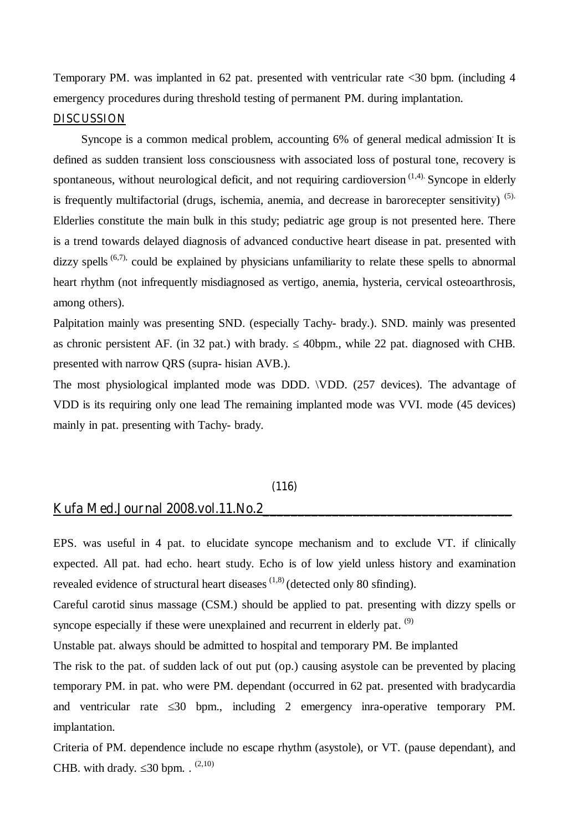Temporary PM. was implanted in 62 pat. presented with ventricular rate <30 bpm. (including 4 emergency procedures during threshold testing of permanent PM. during implantation.

#### **DISCUSSION**

Syncope is a common medical problem, accounting 6% of general medical admission It is defined as sudden transient loss consciousness with associated loss of postural tone, recovery is spontaneous, without neurological deficit, and not requiring cardioversion  $(1,4)$ . Syncope in elderly is frequently multifactorial (drugs, ischemia, anemia, and decrease in barorecepter sensitivity) (5). Elderlies constitute the main bulk in this study; pediatric age group is not presented here. There is a trend towards delayed diagnosis of advanced conductive heart disease in pat. presented with dizzy spells  $(6,7)$ , could be explained by physicians unfamiliarity to relate these spells to abnormal heart rhythm (not infrequently misdiagnosed as vertigo, anemia, hysteria, cervical osteoarthrosis, among others).

Palpitation mainly was presenting SND. (especially Tachy- brady.). SND. mainly was presented as chronic persistent AF. (in 32 pat.) with brady. 40bpm., while 22 pat. diagnosed with CHB. presented with narrow QRS (supra- hisian AVB.).

The most physiological implanted mode was DDD. \VDD. (257 devices). The advantage of VDD is its requiring only one lead The remaining implanted mode was VVI. mode (45 devices) mainly in pat. presenting with Tachy- brady.

### **(116)**

### **Kufa Med.Journal 2008.vol.11.No.2\_\_\_\_\_\_\_\_\_\_\_\_\_\_\_\_\_\_\_\_\_\_\_\_\_\_\_\_\_\_\_\_\_\_\_\_**

EPS. was useful in 4 pat. to elucidate syncope mechanism and to exclude VT. if clinically expected. All pat. had echo. heart study. Echo is of low yield unless history and examination revealed evidence of structural heart diseases  $(1,8)$  (detected only 80 sfinding).

Careful carotid sinus massage (CSM.) should be applied to pat. presenting with dizzy spells or syncope especially if these were unexplained and recurrent in elderly pat.  $(9)$ 

Unstable pat. always should be admitted to hospital and temporary PM. Be implanted

The risk to the pat. of sudden lack of out put (op.) causing asystole can be prevented by placing temporary PM. in pat. who were PM. dependant (occurred in 62 pat. presented with bradycardia and ventricular rate 30 bpm., including 2 emergency inra-operative temporary PM. implantation.

Criteria of PM. dependence include no escape rhythm (asystole), or VT. (pause dependant), and CHB. with drady.  $30$  bpm. .  $(2,10)$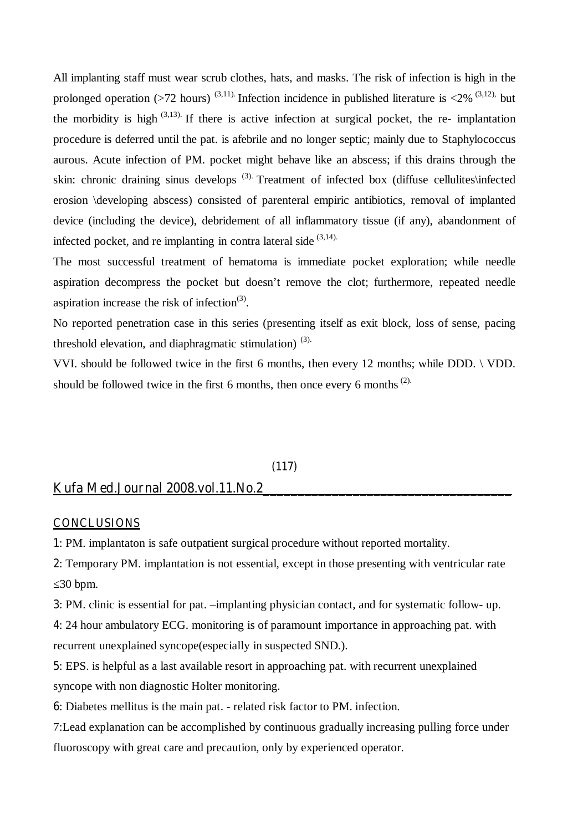All implanting staff must wear scrub clothes, hats, and masks. The risk of infection is high in the prolonged operation (>72 hours)<sup>(3,11)</sup>. Infection incidence in published literature is <2%<sup>(3,12)</sup>, but the morbidity is high  $(3,13)$ . If there is active infection at surgical pocket, the re- implantation procedure is deferred until the pat. is afebrile and no longer septic; mainly due to Staphylococcus aurous. Acute infection of PM. pocket might behave like an abscess; if this drains through the skin: chronic draining sinus develops<sup>(3)</sup>. Treatment of infected box (diffuse cellulites\infected erosion \developing abscess) consisted of parenteral empiric antibiotics, removal of implanted device (including the device), debridement of all inflammatory tissue (if any), abandonment of infected pocket, and re implanting in contra lateral side  $(3,14)$ .

The most successful treatment of hematoma is immediate pocket exploration; while needle aspiration decompress the pocket but doesn't remove the clot; furthermore, repeated needle aspiration increase the risk of infection $(3)$ .

No reported penetration case in this series (presenting itself as exit block, loss of sense, pacing threshold elevation, and diaphragmatic stimulation)  $(3)$ .

VVI. should be followed twice in the first 6 months, then every 12 months; while DDD. \ VDD. should be followed twice in the first 6 months, then once every 6 months  $(2)$ .

### **(117)**

## **Kufa Med.Journal 2008.vol.11.No.2\_\_\_\_\_\_\_\_\_\_\_\_\_\_\_\_\_\_\_\_\_\_\_\_\_\_\_\_\_\_\_\_\_\_\_\_**

#### **CONCLUSIONS**

**1**: PM. implantaton is safe outpatient surgical procedure without reported mortality.

**2**: Temporary PM. implantation is not essential, except in those presenting with ventricular rate 30 bpm.

**3**: PM. clinic is essential for pat. –implanting physician contact, and for systematic follow- up.

**4**: 24 hour ambulatory ECG. monitoring is of paramount importance in approaching pat. with recurrent unexplained syncope(especially in suspected SND.).

**5**: EPS. is helpful as a last available resort in approaching pat. with recurrent unexplained syncope with non diagnostic Holter monitoring.

**6**: Diabetes mellitus is the main pat. - related risk factor to PM. infection.

7:Lead explanation can be accomplished by continuous gradually increasing pulling force under fluoroscopy with great care and precaution, only by experienced operator.